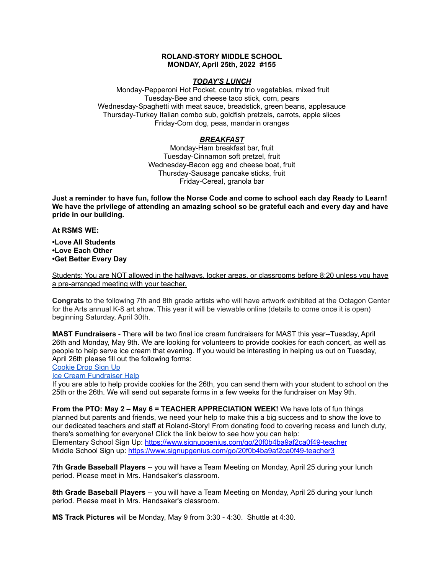## **ROLAND-STORY MIDDLE SCHOOL MONDAY, April 25th, 2022 #155**

## *TODAY'S LUNCH*

Monday-Pepperoni Hot Pocket, country trio vegetables, mixed fruit Tuesday-Bee and cheese taco stick, corn, pears Wednesday-Spaghetti with meat sauce, breadstick, green beans, applesauce Thursday-Turkey Italian combo sub, goldfish pretzels, carrots, apple slices Friday-Corn dog, peas, mandarin oranges

## *BREAKFAST*

Monday-Ham breakfast bar, fruit Tuesday-Cinnamon soft pretzel, fruit Wednesday-Bacon egg and cheese boat, fruit Thursday-Sausage pancake sticks, fruit Friday-Cereal, granola bar

Just a reminder to have fun, follow the Norse Code and come to school each day Ready to Learn! **We have the privilege of attending an amazing school so be grateful each and every day and have pride in our building.**

#### **At RSMS WE:**

**•Love All Students •Love Each Other •Get Better Every Day**

Students: You are NOT allowed in the hallways, locker areas, or classrooms before 8:20 unless you have a pre-arranged meeting with your teacher.

**Congrats** to the following 7th and 8th grade artists who will have artwork exhibited at the Octagon Center for the Arts annual K-8 art show. This year it will be viewable online (details to come once it is open) beginning Saturday, April 30th.

**MAST Fundraisers** - There will be two final ice cream fundraisers for MAST this year--Tuesday, April 26th and Monday, May 9th. We are looking for volunteers to provide cookies for each concert, as well as people to help serve ice cream that evening. If you would be interesting in helping us out on Tuesday, April 26th please fill out the following forms:

# [Cookie](https://www.signupgenius.com/go/4090c45acac2ba31-rsmast2) Drop Sign Up

# Ice Cream [Fundraiser](https://www.signupgenius.com/go/4090c45acac2ba31-rsmast3) Help

If you are able to help provide cookies for the 26th, you can send them with your student to school on the 25th or the 26th. We will send out separate forms in a few weeks for the fundraiser on May 9th.

**From the PTO: May 2 – May 6 = TEACHER APPRECIATION WEEK!** We have lots of fun things planned but parents and friends, we need your help to make this a big success and to show the love to our dedicated teachers and staff at Roland-Story! From donating food to covering recess and lunch duty, there's something for everyone! Click the link below to see how you can help: Elementary School Sign Up: <https://www.signupgenius.com/go/20f0b4ba9af2ca0f49-teacher> Middle School Sign up: <https://www.signupgenius.com/go/20f0b4ba9af2ca0f49-teacher3>

**7th Grade Baseball Players** -- you will have a Team Meeting on Monday, April 25 during your lunch period. Please meet in Mrs. Handsaker's classroom.

**8th Grade Baseball Players** -- you will have a Team Meeting on Monday, April 25 during your lunch period. Please meet in Mrs. Handsaker's classroom.

**MS Track Pictures** will be Monday, May 9 from 3:30 - 4:30. Shuttle at 4:30.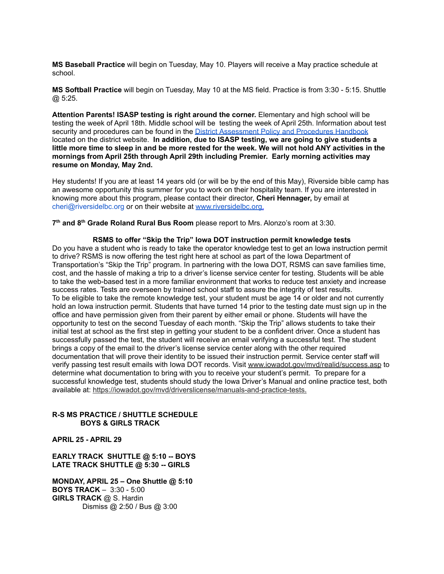**MS Baseball Practice** will begin on Tuesday, May 10. Players will receive a May practice schedule at school.

**MS Softball Practice** will begin on Tuesday, May 10 at the MS field. Practice is from 3:30 - 5:15. Shuttle @ 5:25.

**Attention Parents! ISASP testing is right around the corner.** Elementary and high school will be testing the week of April 18th. Middle school will be testing the week of April 25th. Information about test security and procedures can be found in the District [Assessment](https://rolandstory.school/media/Michelle%20Soderstrum/RSCSD_District_Assessment_Poli%20-%20Copy%203.pdf) Policy and Procedures Handbook located on the district website. **In addition, due to ISASP testing, we are going to give students a** little more time to sleep in and be more rested for the week. We will not hold ANY activities in the **mornings from April 25th through April 29th including Premier. Early morning activities may resume on Monday, May 2nd.**

Hey students! If you are at least 14 years old (or will be by the end of this May), Riverside bible camp has an awesome opportunity this summer for you to work on their hospitality team. If you are interested in knowing more about this program, please contact their director, **Cheri Hennager,** by email at cheri@riversidelbc.org or on their website at [www.riversidelbc.org.](http://www.riversidelbc.org/)

**7 th and 8 th Grade Roland Rural Bus Room** please report to Mrs. Alonzo's room at 3:30.

**RSMS to offer "Skip the Trip" Iowa DOT instruction permit knowledge tests** Do you have a student who is ready to take the operator knowledge test to get an Iowa instruction permit to drive? RSMS is now offering the test right here at school as part of the Iowa Department of Transportation's "Skip the Trip" program. In partnering with the Iowa DOT, RSMS can save families time, cost, and the hassle of making a trip to a driver's license service center for testing. Students will be able to take the web-based test in a more familiar environment that works to reduce test anxiety and increase success rates. Tests are overseen by trained school staff to assure the integrity of test results. To be eligible to take the remote knowledge test, your student must be age 14 or older and not currently hold an Iowa instruction permit. Students that have turned 14 prior to the testing date must sign up in the office and have permission given from their parent by either email or phone. Students will have the opportunity to test on the second Tuesday of each month. "Skip the Trip" allows students to take their initial test at school as the first step in getting your student to be a confident driver. Once a student has successfully passed the test, the student will receive an email verifying a successful test. The student brings a copy of the email to the driver's license service center along with the other required documentation that will prove their identity to be issued their instruction permit. Service center staff will verify passing test result emails with Iowa DOT records. Visit [www.iowadot.gov/mvd/realid/success.asp](http://www.iowadot.gov/mvd/realid/success.asp) to determine what documentation to bring with you to receive your student's permit. To prepare for a successful knowledge test, students should study the Iowa Driver's Manual and online practice test, both available at: <https://iowadot.gov/mvd/driverslicense/manuals-and-practice-tests>.

## **R-S MS PRACTICE / SHUTTLE SCHEDULE BOYS & GIRLS TRACK**

**APRIL 25 - APRIL 29**

## **EARLY TRACK SHUTTLE @ 5:10 -- BOYS LATE TRACK SHUTTLE @ 5:30 -- GIRLS**

**MONDAY, APRIL 25 – One Shuttle @ 5:10 BOYS TRACK** – 3:30 - 5:00 **GIRLS TRACK** @ S. Hardin Dismiss @ 2:50 / Bus @ 3:00